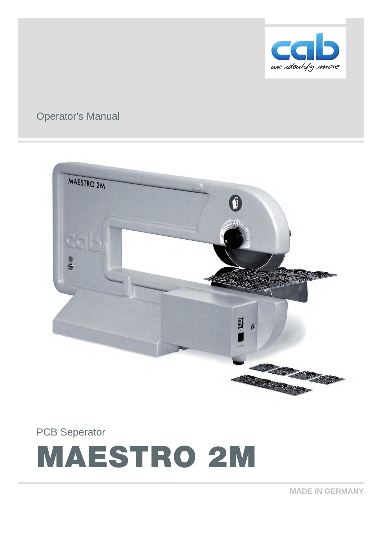

# Operator's Manual



PCB Seperator

# MAESTRO 2M

**MADE IN GERMANY**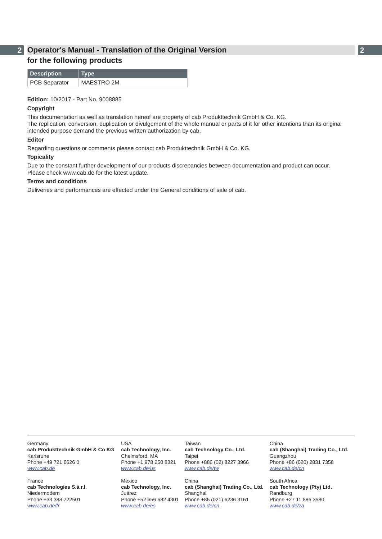# **2 2 Operator's Manual - Translation of the Original Version for the following products**

| Description   | $\mid$ Type |
|---------------|-------------|
| PCB Separator | MAESTRO 2M  |

#### **Edition:** 10/2017 - Part No. 9008885

#### **Copyright**

This documentation as well as translation hereof are property of cab Produkttechnik GmbH & Co. KG. The replication, conversion, duplication or divulgement of the whole manual or parts of it for other intentions than its original intended purpose demand the previous written authorization by cab.

#### **Editor**

Regarding questions or comments please contact cab Produkttechnik GmbH & Co. KG.

#### **Topicality**

Due to the constant further development of our products discrepancies between documentation and product can occur. Please check www.cab.de for the latest update.

#### **Terms and conditions**

Deliveries and performances are effected under the General conditions of sale of cab.

Germany **cab Produkttechnik GmbH & Co KG** Karlsruhe Phone +49 721 6626 0 *[www.cab.de](http://www.cab.de)*

France **cab Technologies S.à.r.l.** Niedermodern Phone +33 388 722501 *[www.cab.de/fr](http://www.cab.de/fr)*

USA **cab Technology, Inc.** Chelmsford, MA Phone +1 978 250 8321 *[www.cab.de/us](http://www.cab.de/us)*

Mexico **cab Technology, Inc.** Juárez Phone +52 656 682 4301 *[www.cab.de/es](http://www.cab.de/es)*

Taiwan **cab Technology Co., Ltd.** Taipei Phone +886 (02) 8227 3966 *[www.cab.de/tw](http://www.cab.de/tw)*

China **cab (Shanghai) Trading Co., Ltd.** Shanghai Phone +86 (021) 6236 3161 *[www.cab.de/cn](http://www.cab.de/cn)*

China **cab (Shanghai) Trading Co., Ltd.** Guangzhou Phone +86 (020) 2831 7358 *[www.cab.de/cn](http://www.cab.de/cn)*

South Africa **cab Technology (Pty) Ltd.** Randburg Phone +27 11 886 3580 *[www.cab.de/za](http://www.cab.de/za)*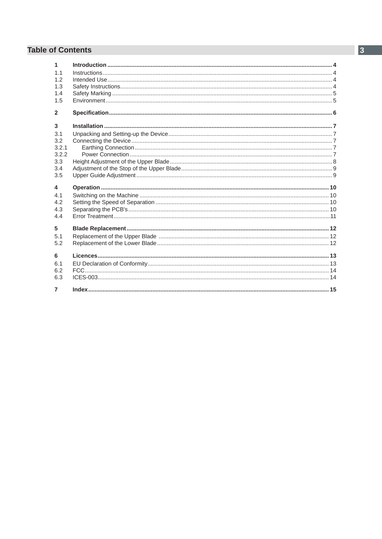# **Table of Contents**

| $\blacktriangleleft$ |  |
|----------------------|--|
| 1.1                  |  |
| 1.2                  |  |
| 1.3                  |  |
| 1.4                  |  |
| 1.5                  |  |
| $\overline{2}$       |  |
| 3                    |  |
| 3.1                  |  |
| 3.2                  |  |
| 3.2.1                |  |
| 3.2.2                |  |
| 3.3                  |  |
| 3.4                  |  |
| 3.5                  |  |
| 4                    |  |
| 41                   |  |
| 4.2                  |  |
| 4.3                  |  |
| 4.4                  |  |
| 5                    |  |
| 5.1                  |  |
| 5.2                  |  |
| 6                    |  |
| 6.1                  |  |
| 6.2                  |  |
| 6.3                  |  |
| $\overline{7}$       |  |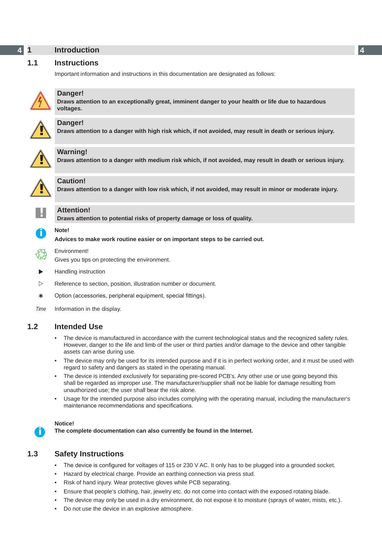#### <span id="page-3-0"></span>**4 4 1 Introduction**

# **1.1 Instructions**

Important information and instructions in this documentation are designated as follows:



# **Danger!**

**Draws attention to an exceptionally great, imminent danger to your health or life due to hazardous voltages.**



**the Danger!**<br>Draws attention to a danger with high risk which, if not avoided, may result in death or serious injury.



**Warning!**<br>Draws attention to a danger with medium risk which, if not avoided, may result in death or serious injury.



# **Caution!**

**Draws attention to a danger with low risk which, if not avoided, may result in minor or moderate injury.**

**! Attention! Draws attention to potential risks of property damage or loss of quality.**

# **i Note!**

**Advices to make work routine easier or on important steps to be carried out.**

Environment!<br>Gives you tips on protecting the environment.

- **Handling instruction**
- $\triangleright$  Reference to section, position, illustration number or document.
- \* Option (accessories, peripheral equipment, special fittings).

# **1.2 Intended Use**

- The device is manufactured in accordance with the current technological status and the recognized safety rules. However, danger to the life and limb of the user or third parties and/or damage to the device and other tangible assets can arise during use.
- The device may only be used for its intended purpose and if it is in perfect working order, and it must be used with regard to safety and dangers as stated in the operating manual.
- The device is intended exclusively for separating pre-scored PCB's. Any other use or use going beyond this shall be regarded as improper use. The manufacturer/supplier shall not be liable for damage resulting from unauthorized use; the user shall bear the risk alone.
- Usage for the intended purpose also includes complying with the operating manual, including the manufacturer's maintenance recommendations and specifications.

#### **Notice!**

**i**

**The complete documentation can also currently be found in the Internet.**

# **1.3 Safety Instructions**

- The device is configured for voltages of 115 or 230 V AC. It only has to be plugged into a grounded socket.
- Hazard by electrical charge. Provide an earthing connection via press stud.
- Risk of hand injury. Wear protective gloves while PCB separating.
- Ensure that people's clothing, hair, jewelry etc. do not come into contact with the exposed rotating blade.
- The device may only be used in a dry environment, do not expose it to moisture (sprays of water, mists, etc.).
- Do not use the device in an explosive atmosphere.

*Time* Information in the display.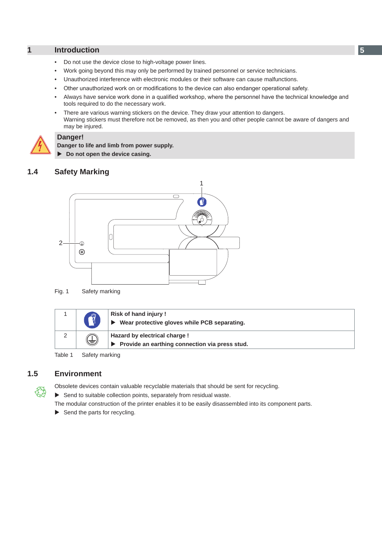## <span id="page-4-0"></span>**1 Introduction**

- Do not use the device close to high-voltage power lines.
- Work going beyond this may only be performed by trained personnel or service technicians.
- Unauthorized interference with electronic modules or their software can cause malfunctions.
- Other unauthorized work on or modifications to the device can also endanger operational safety.
- Always have service work done in a qualified workshop, where the personnel have the technical knowledge and tools required to do the necessary work.
- There are various warning stickers on the device. They draw your attention to dangers. Warning stickers must therefore not be removed, as then you and other people cannot be aware of dangers and may be injured.



#### **Danger!**

**Danger to life and limb from power supply.**

 $\triangleright$  Do not open the device casing.

# **1.4 Safety Marking**



Fig. 1 Safety marking

|     | Risk of hand injury!<br>Wear protective gloves while PCB separating.              |
|-----|-----------------------------------------------------------------------------------|
| \3/ | Hazard by electrical charge !<br>▶ Provide an earthing connection via press stud. |

Table 1 Safety marking

# **1.5 Environment**

3

Obsolete devices contain valuable recyclable materials that should be sent for recycling.

 $\triangleright$  Send to suitable collection points, separately from residual waste.

The modular construction of the printer enables it to be easily disassembled into its component parts.

 $\blacktriangleright$  Send the parts for recycling.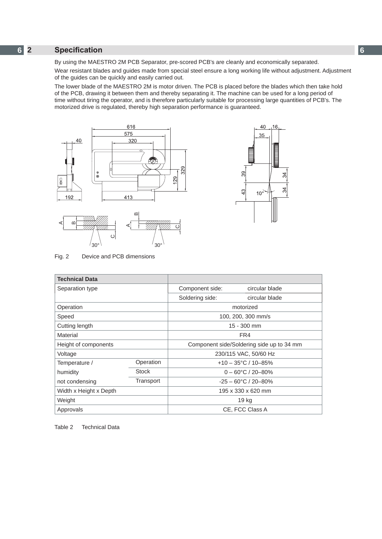# <span id="page-5-0"></span>**6 6 2 Specification**

By using the MAESTRO 2M PCB Separator, pre-scored PCB's are cleanly and economically separated.

Wear resistant blades and guides made from special steel ensure a long working life without adjustment. Adjustment of the guides can be quickly and easily carried out.

The lower blade of the MAESTRO 2M is motor driven. The PCB is placed before the blades which then take hold of the PCB, drawing it between them and thereby separating it. The machine can be used for a long period of time without tiring the operator, and is therefore particularly suitable for processing large quantities of PCB's. The motorized drive is regulated, thereby high separation performance is guaranteed.





Fig. 2 Device and PCB dimensions

 $\epsilon$ 

 $30^{\circ}$   $\frac{1}{30^{\circ}}$ 

| <b>Technical Data</b>       |              |                                           |                             |  |
|-----------------------------|--------------|-------------------------------------------|-----------------------------|--|
| Separation type             |              | Component side:                           | circular blade              |  |
|                             |              | Soldering side:                           | circular blade              |  |
| Operation                   |              | motorized                                 |                             |  |
| Speed                       |              | 100, 200, 300 mm/s                        |                             |  |
| Cutting length              |              |                                           | 15 - 300 mm                 |  |
| Material                    |              | FR4                                       |                             |  |
| Height of components        |              | Component side/Soldering side up to 34 mm |                             |  |
| Voltage                     |              | 230/115 VAC, 50/60 Hz                     |                             |  |
| Temperature /               | Operation    | $+10 - 35^{\circ}$ C / 10-85%             |                             |  |
| humidity                    | <b>Stock</b> |                                           | $0 - 60^{\circ}$ C / 20-80% |  |
| Transport<br>not condensing |              | $-25 - 60^{\circ}$ C / 20-80%             |                             |  |
| Width x Height x Depth      |              | 195 x 330 x 620 mm                        |                             |  |
| Weight                      |              |                                           | 19 kg                       |  |
| Approvals                   |              |                                           | CE, FCC Class A             |  |

Table 2 Technical Data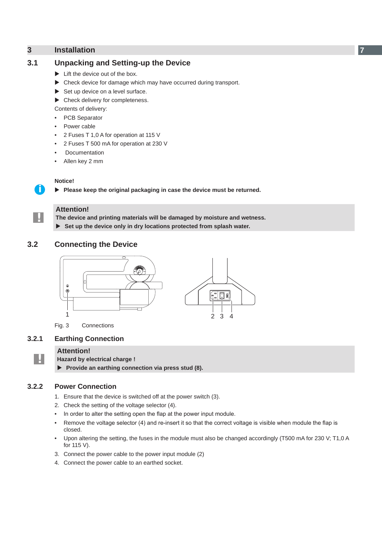# <span id="page-6-0"></span>**3 Installation 7**

# **3.1 Unpacking and Setting-up the Device**

- $\blacktriangleright$  Lift the device out of the box.
- $\triangleright$  Check device for damage which may have occurred during transport.
- $\triangleright$  Set up device on a level surface.
- $\blacktriangleright$  Check delivery for completeness.

Contents of delivery:

- PCB Separator
- Power cable
- 2 Fuses T 1,0 A for operation at 115 V
- 2 Fuses T 500 mA for operation at 230 V
- **Documentation**
- Allen key 2 mm

#### **Notice!**

**i**

**!**

**!**

**Please keep the original packaging in case the device must be returned.** 

# **Attention!**

**The device and printing materials will be damaged by moisture and wetness.** ▶ Set up the device only in dry locations protected from splash water.

**3.2 Connecting the Device**



Fig. 3 Connections

## **3.2.1 Earthing Connection**

#### **Attention!**

**Hazard by electrical charge !**

▶ Provide an earthing connection via press stud (8).

#### **3.2.2 Power Connection**

- 1. Ensure that the device is switched off at the power switch (3).
- 2. Check the setting of the voltage selector (4).
- In order to alter the setting open the flap at the power input module.
- Remove the voltage selector (4) and re-insert it so that the correct voltage is visible when module the flap is closed.
- Upon altering the setting, the fuses in the module must also be changed accordingly (T500 mA for 230 V; T1,0 A for 115 V).
- 3. Connect the power cable to the power input module (2)
- 4. Connect the power cable to an earthed socket.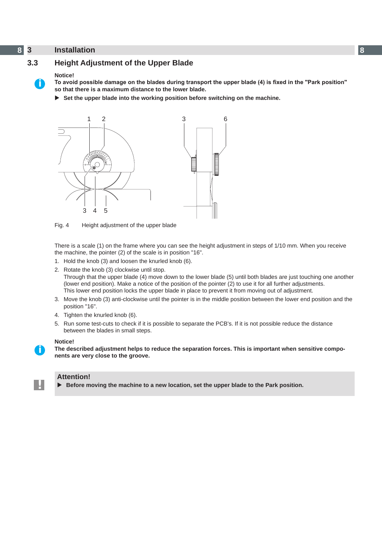# <span id="page-7-0"></span>**8 3 Installation 8**



# **3.3 Height Adjustment of the Upper Blade**

#### <span id="page-7-1"></span>**Notice!**

To avoid possible damage on the blades during transport the upper blade (4) is fixed in the "Park position" **so that there is a maximum distance to the lower blade.** 

▶ Set the upper blade into the working position before switching on the machine.



Fig. 4 Height adjustment of the upper blade

There is a scale (1) on the frame where you can see the height adjustment in steps of 1/10 mm. When you receive the machine, the pointer (2) of the scale is in position "16".

- 1. Hold the knob (3) and loosen the knurled knob (6).
- 2. Rotate the knob (3) clockwise until stop.

Through that the upper blade (4) move down to the lower blade (5) until both blades are just touching one another (lower end position). Make a notice of the position of the pointer (2) to use it for all further adjustments. This lower end position locks the upper blade in place to prevent it from moving out of adjustment.

- 3. Move the knob (3) anti-clockwise until the pointer is in the middle position between the lower end position and the position "16".
- 4. Tighten the knurled knob (6).
- 5. Run some test-cuts to check if it is possible to separate the PCB's. If it is not possible reduce the distance between the blades in small steps.

#### **Notice!**

**i**

**!**

**The described adjustment helps to reduce the separation forces. This is important when sensitive components are very close to the groove.** 

#### **Attention!**

▶ Before moving the machine to a new location, set the upper blade to the Park position.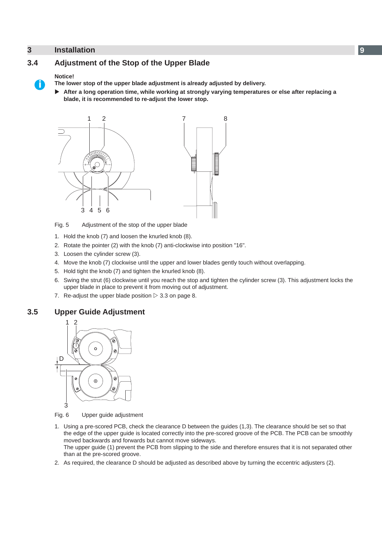# <span id="page-8-0"></span>**3 Installation 9**

<span id="page-8-1"></span>

#### **Notice!**

**i**

**The lower stop of the upper blade adjustment is already adjusted by delivery.**

X **After a long operation time, while working at strongly varying temperatures or else after replacing a blade, it is recommended to re-adjust the lower stop.**



Fig. 5 Adjustment of the stop of the upper blade

- 1. Hold the knob (7) and loosen the knurled knob (8).
- 2. Rotate the pointer (2) with the knob (7) anti-clockwise into position "16".
- 3. Loosen the cylinder screw (3).
- 4. Move the knob (7) clockwise until the upper and lower blades gently touch without overlapping.
- 5. Hold tight the knob (7) and tighten the knurled knob (8).
- 6. Swing the strut (6) clockwise until you reach the stop and tighten the cylinder screw (3). This adjustment locks the upper blade in place to prevent it from moving out of adjustment.
- 7. Re-adjust the upper blade position  $\triangleright$  3.3 on page [8](#page-7-1).

# **3.5 Upper Guide Adjustment**



Fig. 6 Upper guide adjustment

- 1. Using a pre-scored PCB, check the clearance D between the guides (1,3). The clearance should be set so that the edge of the upper guide is located correctly into the pre-scored groove of the PCB. The PCB can be smoothly moved backwards and forwards but cannot move sideways. The upper guide (1) prevent the PCB from slipping to the side and therefore ensures that it is not separated other than at the pre-scored groove.
- 2. As required, the clearance D should be adjusted as described above by turning the eccentric adjusters (2).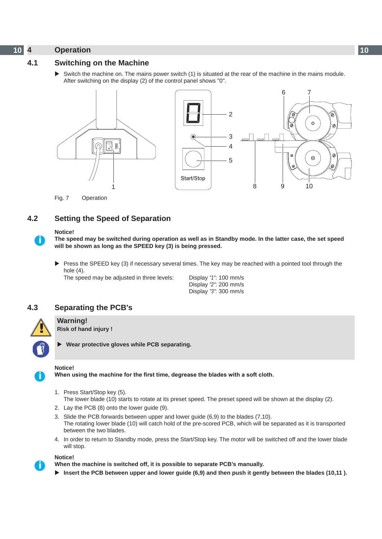# <span id="page-9-0"></span>**10 4 Operation 10**

# **4.1 Switching on the Machine**

Switch the machine on. The mains power switch (1) is situated at the rear of the machine in the mains module. After switching on the display (2) of the control panel shows "0".



Fig. 7 Operation

# **4.2 Setting the Speed of Separation**

#### **Notice!**

**i**

**The speed may be switched during operation as well as in Standby mode. In the latter case, the set speed will be shown as long as the SPEED key (3) is being pressed.**

 $\triangleright$  Press the SPEED key (3) if necessary several times. The key may be reached with a pointed tool through the hole (4).

The speed may be adjusted in three levels: Display *"1"*: 100 mm/s

 Display *"2"*: 200 mm/s Display *"3"*: 300 mm/s

# **4.3 Separating the PCB's**



X **Wear protective gloves while PCB separating.**

#### **Notice!**

**i**

**i**

**When using the machine for the first time, degrease the blades with a soft cloth.**

- 1. Press Start/Stop key (5). The lower blade (10) starts to rotate at its preset speed. The preset speed will be shown at the display (2).
- 2. Lay the PCB (8) onto the lower guide (9).
- 3. Slide the PCB forwards between upper and lower guide (6,9) to the blades (7,10). The rotating lower blade (10) will catch hold of the pre-scored PCB, which will be separated as it is transported between the two blades.
- 4. In order to return to Standby mode, press the Start/Stop key. The motor will be switched off and the lower blade will stop.

#### **Notice!**

**When the machine is switched off, it is possible to separate PCB's manually.**

▶ Insert the PCB between upper and lower guide (6,9) and then push it gently between the blades (10,11).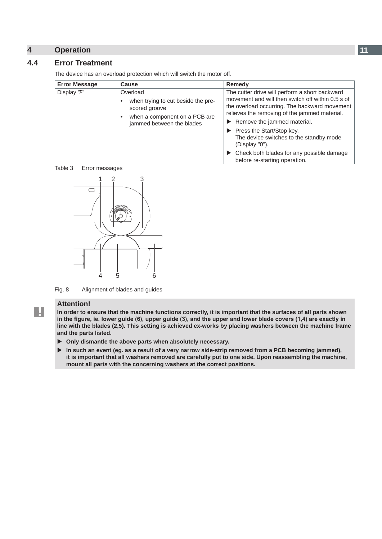# <span id="page-10-0"></span>**4 Operation**

# **4.4 Error Treatment**

The device has an overload protection which will switch the motor off. **Error Message Cause Cause Cause Remedy** Display "F" | Overload when trying to cut beside the prescored groove • when a component on a PCB are jammed between the blades The cutter drive will perform a short backward movement and will then switch off within 0.5 s of the overload occurring. The backward movement relieves the removing of the jammed material.  $\blacktriangleright$  Remove the jammed material.  $\blacktriangleright$  Press the Start/Stop key. The device switches to the standby mode (Display "0").  $\blacktriangleright$  Check both blades for any possible damage before re-starting operation.





Fig. 8 Alignment of blades and guides

#### **Attention!**

**!**

**In order to ensure that the machine functions correctly, it is important that the surfaces of all parts shown**  in the figure, ie. lower guide (6), upper guide (3), and the upper and lower blade covers (1,4) are exactly in **line with the blades (2,5). This setting is achieved ex-works by placing washers between the machine frame and the parts listed.**

- $\triangleright$  Only dismantle the above parts when absolutely necessary.
- In such an event (eg. as a result of a very narrow side-strip removed from a PCB becoming jammed), **it is important that all washers removed are carefully put to one side. Upon reassembling the machine, mount all parts with the concerning washers at the correct positions.**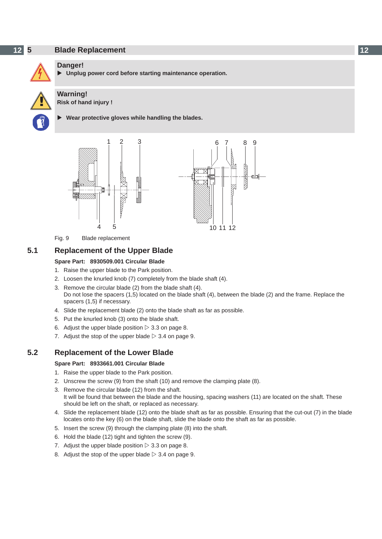# <span id="page-11-0"></span>**12 5 Blade Replacement 12**



#### **Danger!**

Unplug power cord before starting maintenance operation.



**! Warning! Risk of hand injury !** 



## X **Wear protective gloves while handling the blades.**



Fig. 9 Blade replacement

# **5.1 Replacement of the Upper Blade**

#### **Spare Part: 8930509.001 Circular Blade**

- 1. Raise the upper blade to the Park position.
- 2. Loosen the knurled knob (7) completely from the blade shaft (4).
- 3. Remove the circular blade (2) from the blade shaft (4). Do not lose the spacers (1,5) located on the blade shaft (4), between the blade (2) and the frame. Replace the spacers (1,5) if necessary.
- 4. Slide the replacement blade (2) onto the blade shaft as far as possible.
- 5. Put the knurled knob (3) onto the blade shaft.
- 6. Adjust the upper blade position  $\triangleright$  3.3 on page [8.](#page-7-1)
- 7. Adjust the stop of the upper blade  $\triangleright$  3.4 on page [9.](#page-8-1)

# **5.2 Replacement of the Lower Blade**

#### **Spare Part: 8933661.001 Circular Blade**

- 1. Raise the upper blade to the Park position.
- 2. Unscrew the screw (9) from the shaft (10) and remove the clamping plate (8).
- 3. Remove the circular blade (12) from the shaft. It will be found that between the blade and the housing, spacing washers (11) are located on the shaft. These should be left on the shaft, or replaced as necessary.
- 4. Slide the replacement blade (12) onto the blade shaft as far as possible. Ensuring that the cut-out (7) in the blade locates onto the key (6) on the blade shaft, slide the blade onto the shaft as far as possible.
- 5. Insert the screw (9) through the clamping plate (8) into the shaft.
- 6. Hold the blade (12) tight and tighten the screw (9).
- 7. Adjust the upper blade position  $\triangleright$  3.3 on page [8.](#page-7-1)
- 8. Adjust the stop of the upper blade  $\triangleright$  3.4 on page [9.](#page-8-1)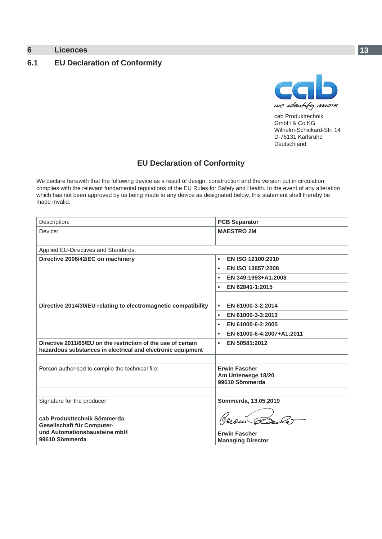# <span id="page-12-0"></span>**6 Licences 13**

# **6.1 EU Declaration of Conformity**



cab Produkttechnik GmbH & Co KG Wilhelm-Schickard-Str. 14 D-76131 Karlsruhe Deutschland

# **EU Declaration of Conformity**

We declare herewith that the following device as a result of design, construction and the version put in circulation complies with the relevant fundamental regulations of the EU Rules for Safety and Health. In the event of any alteration which has not been approved by us being made to any device as designated below, this statement shall thereby be made invalid.

| Description:                                                                                                                 | <b>PCB Separator</b>                   |
|------------------------------------------------------------------------------------------------------------------------------|----------------------------------------|
| Device:                                                                                                                      | <b>MAESTRO 2M</b>                      |
|                                                                                                                              |                                        |
| Applied EU-Directives and Standards:                                                                                         |                                        |
| Directive 2006/42/EC on machinery                                                                                            | EN ISO 12100:2010<br>$\bullet$         |
|                                                                                                                              | EN ISO 13857:2008                      |
|                                                                                                                              | EN 349:1993+A1:2008<br>٠               |
|                                                                                                                              | EN 62841-1:2015<br>$\bullet$           |
|                                                                                                                              |                                        |
| Directive 2014/30/EU relating to electromagnetic compatibility                                                               | EN 61000-3-2:2014                      |
|                                                                                                                              | EN 61000-3-3:2013<br>$\bullet$         |
|                                                                                                                              | EN 61000-6-2:2005<br>$\bullet$         |
|                                                                                                                              | EN 61000-6-4:2007+A1:2011<br>$\bullet$ |
| Directive 2011/65/EU on the restriction of the use of certain<br>hazardous substances in electrical and electronic equipment | EN 50581:2012<br>$\bullet$             |
|                                                                                                                              |                                        |
| Person authorised to compile the technical file:                                                                             | <b>Erwin Fascher</b>                   |
|                                                                                                                              | Am Unterwege 18/20<br>99610 Sömmerda   |
|                                                                                                                              |                                        |
| Signature for the producer:                                                                                                  | Sömmerda, 13.05.2019                   |
| cab Produkttechnik Sömmerda<br>Gesellschaft für Computer-<br>und Automationsbausteine mbH                                    | <b>Erwin Fascher</b>                   |
| 99610 Sömmerda                                                                                                               | <b>Managing Director</b>               |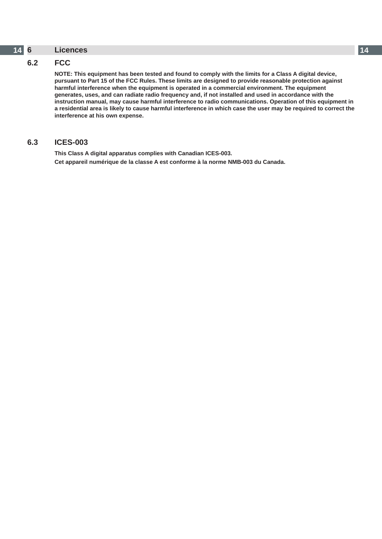#### <span id="page-13-0"></span>**14 14 6 Licences**

# **6.2 FCC**

**NOTE: This equipment has been tested and found to comply with the limits for a Class A digital device, pursuant to Part 15 of the FCC Rules. These limits are designed to provide reasonable protection against harmful interference when the equipment is operated in a commercial environment. The equipment generates, uses, and can radiate radio frequency and, if not installed and used in accordance with the instruction manual, may cause harmful interference to radio communications. Operation of this equipment in a residential area is likely to cause harmful interference in which case the user may be required to correct the interference at his own expense.**

## **6.3 ICES-003**

**This Class A digital apparatus complies with Canadian ICES-003. Cet appareil numérique de la classe A est conforme à la norme NMB-003 du Canada.**